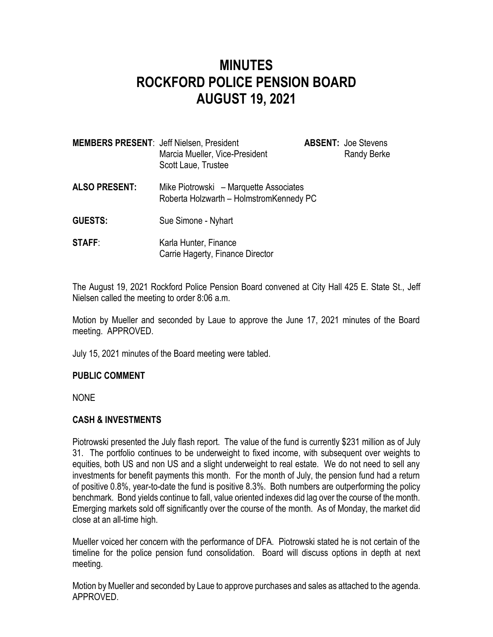# **MINUTES ROCKFORD POLICE PENSION BOARD AUGUST 19, 2021**

| <b>MEMBERS PRESENT: Jeff Nielsen, President</b> | Marcia Mueller, Vice-President<br>Scott Laue, Trustee                             | <b>ABSENT: Joe Stevens</b><br>Randy Berke |
|-------------------------------------------------|-----------------------------------------------------------------------------------|-------------------------------------------|
| <b>ALSO PRESENT:</b>                            | Mike Piotrowski – Marquette Associates<br>Roberta Holzwarth - HolmstromKennedy PC |                                           |
| <b>GUESTS:</b>                                  | Sue Simone - Nyhart                                                               |                                           |

**STAFF:** Karla Hunter, Finance Carrie Hagerty, Finance Director

The August 19, 2021 Rockford Police Pension Board convened at City Hall 425 E. State St., Jeff Nielsen called the meeting to order 8:06 a.m.

Motion by Mueller and seconded by Laue to approve the June 17, 2021 minutes of the Board meeting. APPROVED.

July 15, 2021 minutes of the Board meeting were tabled.

## **PUBLIC COMMENT**

NONE

## **CASH & INVESTMENTS**

Piotrowski presented the July flash report. The value of the fund is currently \$231 million as of July 31. The portfolio continues to be underweight to fixed income, with subsequent over weights to equities, both US and non US and a slight underweight to real estate. We do not need to sell any investments for benefit payments this month. For the month of July, the pension fund had a return of positive 0.8%, year-to-date the fund is positive 8.3%. Both numbers are outperforming the policy benchmark. Bond yields continue to fall, value oriented indexes did lag over the course of the month. Emerging markets sold off significantly over the course of the month. As of Monday, the market did close at an all-time high.

Mueller voiced her concern with the performance of DFA. Piotrowski stated he is not certain of the timeline for the police pension fund consolidation. Board will discuss options in depth at next meeting.

Motion by Mueller and seconded by Laue to approve purchases and sales as attached to the agenda. APPROVED.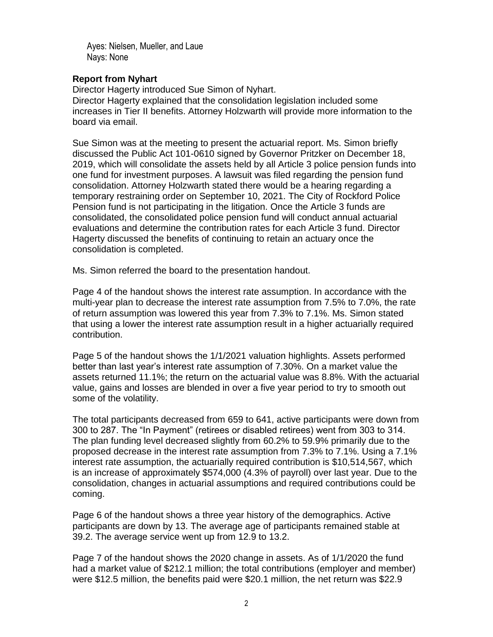Ayes: Nielsen, Mueller, and Laue Nays: None

#### **Report from Nyhart**

Director Hagerty introduced Sue Simon of Nyhart. Director Hagerty explained that the consolidation legislation included some increases in Tier II benefits. Attorney Holzwarth will provide more information to the board via email.

Sue Simon was at the meeting to present the actuarial report. Ms. Simon briefly discussed the Public Act 101-0610 signed by Governor Pritzker on December 18, 2019, which will consolidate the assets held by all Article 3 police pension funds into one fund for investment purposes. A lawsuit was filed regarding the pension fund consolidation. Attorney Holzwarth stated there would be a hearing regarding a temporary restraining order on September 10, 2021. The City of Rockford Police Pension fund is not participating in the litigation. Once the Article 3 funds are consolidated, the consolidated police pension fund will conduct annual actuarial evaluations and determine the contribution rates for each Article 3 fund. Director Hagerty discussed the benefits of continuing to retain an actuary once the consolidation is completed.

Ms. Simon referred the board to the presentation handout.

Page 4 of the handout shows the interest rate assumption. In accordance with the multi-year plan to decrease the interest rate assumption from 7.5% to 7.0%, the rate of return assumption was lowered this year from 7.3% to 7.1%. Ms. Simon stated that using a lower the interest rate assumption result in a higher actuarially required contribution.

Page 5 of the handout shows the 1/1/2021 valuation highlights. Assets performed better than last year's interest rate assumption of 7.30%. On a market value the assets returned 11.1%; the return on the actuarial value was 8.8%. With the actuarial value, gains and losses are blended in over a five year period to try to smooth out some of the volatility.

The total participants decreased from 659 to 641, active participants were down from 300 to 287. The "In Payment" (retirees or disabled retirees) went from 303 to 314. The plan funding level decreased slightly from 60.2% to 59.9% primarily due to the proposed decrease in the interest rate assumption from 7.3% to 7.1%. Using a 7.1% interest rate assumption, the actuarially required contribution is \$10,514,567, which is an increase of approximately \$574,000 (4.3% of payroll) over last year. Due to the consolidation, changes in actuarial assumptions and required contributions could be coming.

Page 6 of the handout shows a three year history of the demographics. Active participants are down by 13. The average age of participants remained stable at 39.2. The average service went up from 12.9 to 13.2.

Page 7 of the handout shows the 2020 change in assets. As of 1/1/2020 the fund had a market value of \$212.1 million; the total contributions (employer and member) were \$12.5 million, the benefits paid were \$20.1 million, the net return was \$22.9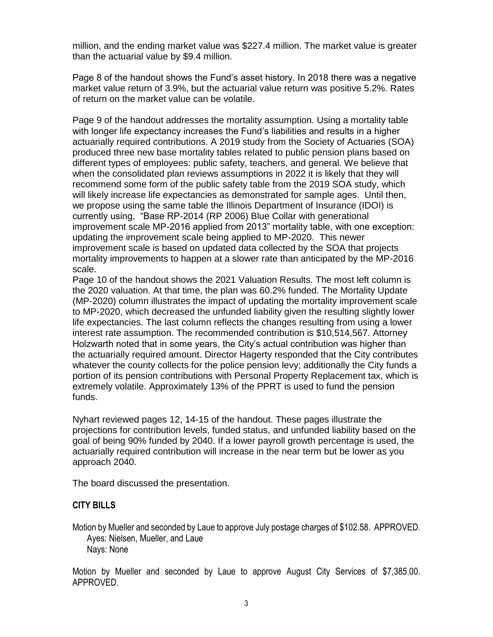million, and the ending market value was \$227.4 million. The market value is greater than the actuarial value by \$9.4 million.

Page 8 of the handout shows the Fund's asset history. In 2018 there was a negative market value return of 3.9%, but the actuarial value return was positive 5.2%. Rates of return on the market value can be volatile.

Page 9 of the handout addresses the mortality assumption. Using a mortality table with longer life expectancy increases the Fund's liabilities and results in a higher actuarially required contributions. A 2019 study from the Society of Actuaries (SOA) produced three new base mortality tables related to public pension plans based on different types of employees: public safety, teachers, and general. We believe that when the consolidated plan reviews assumptions in 2022 it is likely that they will recommend some form of the public safety table from the 2019 SOA study, which will likely increase life expectancies as demonstrated for sample ages. Until then. we propose using the same table the Illinois Department of Insurance (IDOI) is currently using, "Base RP-2014 (RP 2006) Blue Collar with generational improvement scale MP-2016 applied from 2013" mortality table, with one exception: updating the improvement scale being applied to MP-2020. This newer improvement scale is based on updated data collected by the SOA that projects mortality improvements to happen at a slower rate than anticipated by the MP-2016 scale.

Page 10 of the handout shows the 2021 Valuation Results. The most left column is the 2020 valuation. At that time, the plan was 60.2% funded. The Mortality Update (MP-2020) column illustrates the impact of updating the mortality improvement scale to MP-2020, which decreased the unfunded liability given the resulting slightly lower life expectancies. The last column reflects the changes resulting from using a lower interest rate assumption. The recommended contribution is \$10,514,567. Attorney Holzwarth noted that in some years, the City's actual contribution was higher than the actuarially required amount. Director Hagerty responded that the City contributes whatever the county collects for the police pension levy; additionally the City funds a portion of its pension contributions with Personal Property Replacement tax, which is extremely volatile. Approximately 13% of the PPRT is used to fund the pension funds.

Nyhart reviewed pages 12, 14-15 of the handout. These pages illustrate the projections for contribution levels, funded status, and unfunded liability based on the goal of being 90% funded by 2040. If a lower payroll growth percentage is used, the actuarially required contribution will increase in the near term but be lower as you approach 2040.

The board discussed the presentation.

#### **CITY BILLS**

Motion by Mueller and seconded by Laue to approve July postage charges of \$102.58. APPROVED. Ayes: Nielsen, Mueller, and Laue Nays: None

Motion by Mueller and seconded by Laue to approve August City Services of \$7,385.00. APPROVED.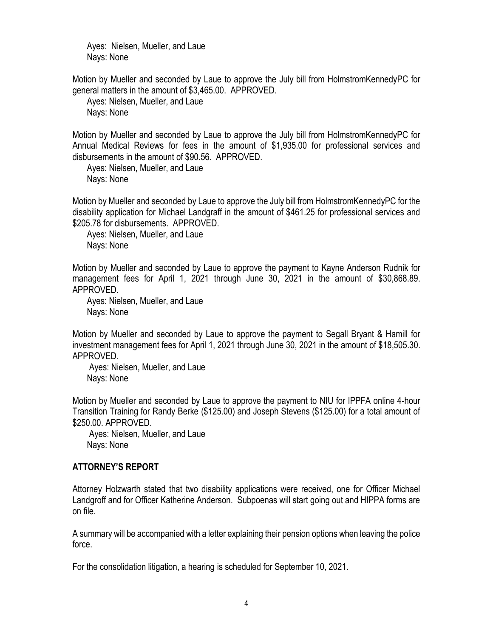Ayes: Nielsen, Mueller, and Laue Nays: None

Motion by Mueller and seconded by Laue to approve the July bill from HolmstromKennedyPC for general matters in the amount of \$3,465.00. APPROVED.

Ayes: Nielsen, Mueller, and Laue Nays: None

Motion by Mueller and seconded by Laue to approve the July bill from HolmstromKennedyPC for Annual Medical Reviews for fees in the amount of \$1,935.00 for professional services and disbursements in the amount of \$90.56. APPROVED.

Ayes: Nielsen, Mueller, and Laue Nays: None

Motion by Mueller and seconded by Laue to approve the July bill from HolmstromKennedyPC for the disability application for Michael Landgraff in the amount of \$461.25 for professional services and \$205.78 for disbursements. APPROVED.

Ayes: Nielsen, Mueller, and Laue Nays: None

Motion by Mueller and seconded by Laue to approve the payment to Kayne Anderson Rudnik for management fees for April 1, 2021 through June 30, 2021 in the amount of \$30,868.89. APPROVED.

Ayes: Nielsen, Mueller, and Laue Nays: None

Motion by Mueller and seconded by Laue to approve the payment to Segall Bryant & Hamill for investment management fees for April 1, 2021 through June 30, 2021 in the amount of \$18,505.30. APPROVED.

Ayes: Nielsen, Mueller, and Laue Nays: None

Motion by Mueller and seconded by Laue to approve the payment to NIU for IPPFA online 4-hour Transition Training for Randy Berke (\$125.00) and Joseph Stevens (\$125.00) for a total amount of \$250.00. APPROVED.

Ayes: Nielsen, Mueller, and Laue Nays: None

## **ATTORNEY'S REPORT**

Attorney Holzwarth stated that two disability applications were received, one for Officer Michael Landgroff and for Officer Katherine Anderson. Subpoenas will start going out and HIPPA forms are on file.

A summary will be accompanied with a letter explaining their pension options when leaving the police force.

For the consolidation litigation, a hearing is scheduled for September 10, 2021.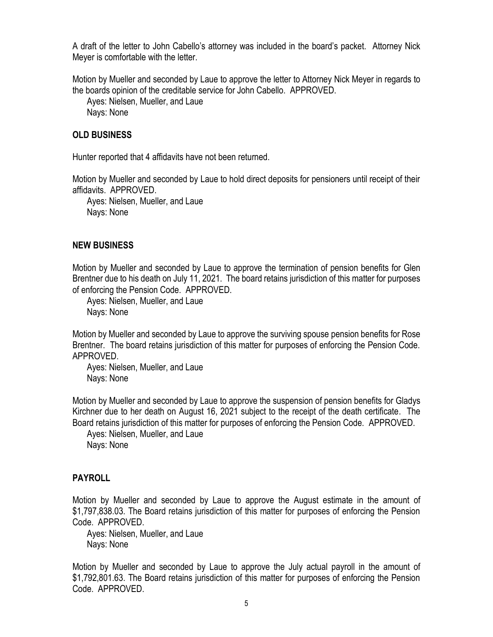A draft of the letter to John Cabello's attorney was included in the board's packet. Attorney Nick Meyer is comfortable with the letter.

Motion by Mueller and seconded by Laue to approve the letter to Attorney Nick Meyer in regards to the boards opinion of the creditable service for John Cabello. APPROVED.

Ayes: Nielsen, Mueller, and Laue Nays: None

## **OLD BUSINESS**

Hunter reported that 4 affidavits have not been returned.

Motion by Mueller and seconded by Laue to hold direct deposits for pensioners until receipt of their affidavits. APPROVED.

Ayes: Nielsen, Mueller, and Laue Nays: None

## **NEW BUSINESS**

Motion by Mueller and seconded by Laue to approve the termination of pension benefits for Glen Brentner due to his death on July 11, 2021. The board retains jurisdiction of this matter for purposes of enforcing the Pension Code. APPROVED.

Ayes: Nielsen, Mueller, and Laue Nays: None

Motion by Mueller and seconded by Laue to approve the surviving spouse pension benefits for Rose Brentner. The board retains jurisdiction of this matter for purposes of enforcing the Pension Code. APPROVED.

Ayes: Nielsen, Mueller, and Laue Nays: None

Motion by Mueller and seconded by Laue to approve the suspension of pension benefits for Gladys Kirchner due to her death on August 16, 2021 subject to the receipt of the death certificate. The Board retains jurisdiction of this matter for purposes of enforcing the Pension Code. APPROVED.

Ayes: Nielsen, Mueller, and Laue Nays: None

## **PAYROLL**

Motion by Mueller and seconded by Laue to approve the August estimate in the amount of \$1,797,838.03. The Board retains jurisdiction of this matter for purposes of enforcing the Pension Code. APPROVED.

Ayes: Nielsen, Mueller, and Laue Nays: None

Motion by Mueller and seconded by Laue to approve the July actual payroll in the amount of \$1,792,801.63. The Board retains jurisdiction of this matter for purposes of enforcing the Pension Code. APPROVED.